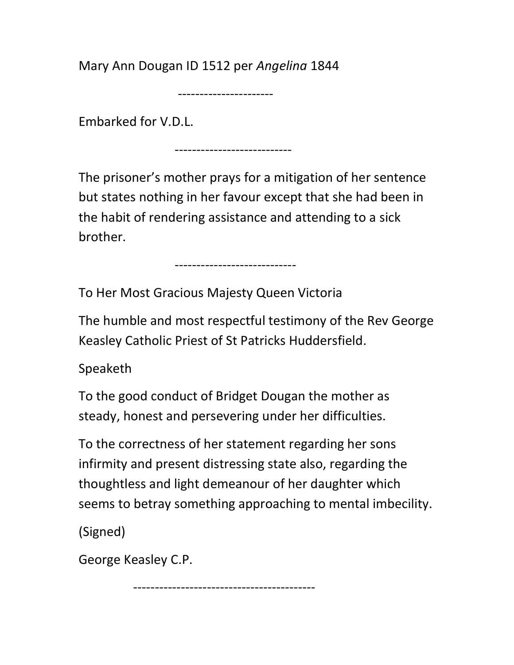Mary Ann Dougan ID 1512 per Angelina 1844

----------------------

Embarked for V.D.L.

---------------------------

----------------------------

The prisoner's mother prays for a mitigation of her sentence but states nothing in her favour except that she had been in the habit of rendering assistance and attending to a sick brother.

To Her Most Gracious Majesty Queen Victoria

The humble and most respectful testimony of the Rev George Keasley Catholic Priest of St Patricks Huddersfield.

Speaketh

To the good conduct of Bridget Dougan the mother as steady, honest and persevering under her difficulties.

To the correctness of her statement regarding her sons infirmity and present distressing state also, regarding the thoughtless and light demeanour of her daughter which seems to betray something approaching to mental imbecility.

(Signed)

George Keasley C.P.

------------------------------------------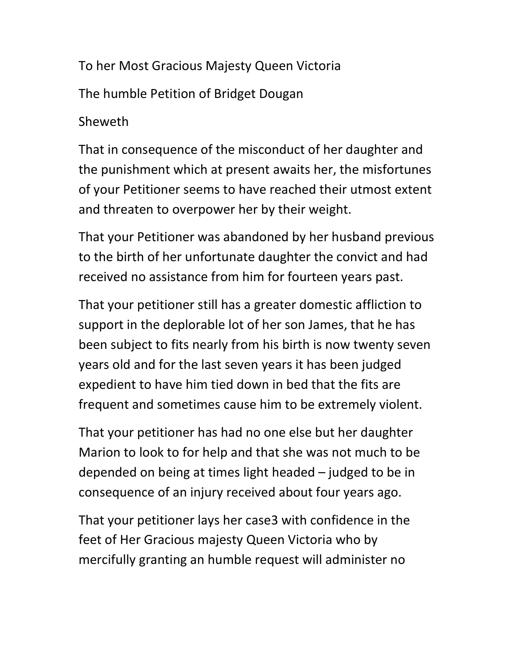To her Most Gracious Majesty Queen Victoria The humble Petition of Bridget Dougan

## Sheweth

That in consequence of the misconduct of her daughter and the punishment which at present awaits her, the misfortunes of your Petitioner seems to have reached their utmost extent and threaten to overpower her by their weight.

That your Petitioner was abandoned by her husband previous to the birth of her unfortunate daughter the convict and had received no assistance from him for fourteen years past.

That your petitioner still has a greater domestic affliction to support in the deplorable lot of her son James, that he has been subject to fits nearly from his birth is now twenty seven years old and for the last seven years it has been judged expedient to have him tied down in bed that the fits are frequent and sometimes cause him to be extremely violent.

That your petitioner has had no one else but her daughter Marion to look to for help and that she was not much to be depended on being at times light headed – judged to be in consequence of an injury received about four years ago.

That your petitioner lays her case3 with confidence in the feet of Her Gracious majesty Queen Victoria who by mercifully granting an humble request will administer no